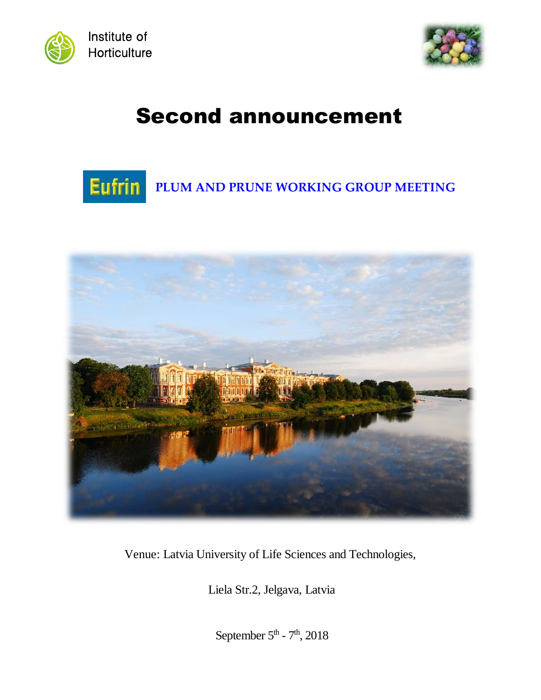



# Second announcement





Venue: Latvia University of Life Sciences and Technologies,

Liela Str.2, Jelgava, Latvia

September  $5<sup>th</sup>$  -  $7<sup>th</sup>$ , 2018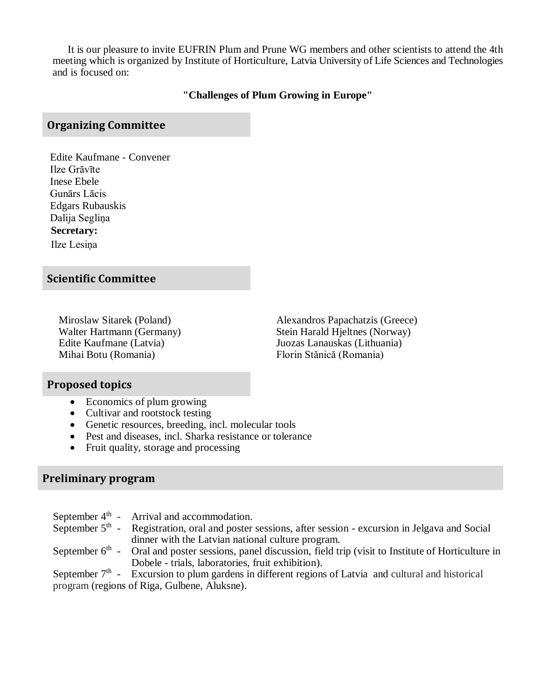It is our pleasure to invite EUFRIN Plum and Prune WG members and other scientists to attend the 4th meeting which is organized by Institute of Horticulture, Latvia University of Life Sciences and Technologies and is focused on:

#### **"Challenges of Plum Growing in Europe"**

### **Organizing Committee**

Edite Kaufmane - Convener Ilze Grāvīte Inese Ebele Gunārs Lācis Edgars Rubauskis Dalija Segliņa  **Secretary:** Ilze Lesiņa

#### **Scientific Committee**

Mihai Botu (Romania) Florin Stănică (Romania)

Miroslaw Sitarek (Poland) Alexandros Papachatzis (Greece) Walter Hartmann (Germany) Stein Harald Hjeltnes (Norway) Edite Kaufmane (Latvia) Juozas Lanauskas (Lithuania)

### **Proposed topics**

- Economics of plum growing
- Cultivar and rootstock testing
- Genetic resources, breeding, incl. molecular tools
- Pest and diseases, incl. Sharka resistance or tolerance
- Fruit quality, storage and processing

# **Preliminary program**

|                                              | September $4th$ - Arrival and accommodation.                                                                    |
|----------------------------------------------|-----------------------------------------------------------------------------------------------------------------|
|                                              | September $5th$ - Registration, oral and poster sessions, after session - excursion in Jelgava and Social       |
|                                              | dinner with the Latvian national culture program.                                                               |
|                                              | September $6th$ - Oral and poster sessions, panel discussion, field trip (visit to Institute of Horticulture in |
|                                              | Dobele - trials, laboratories, fruit exhibition).                                                               |
|                                              | September $7th$ - Excursion to plum gardens in different regions of Latvia and cultural and historical          |
| program (regions of Riga, Gulbene, Aluksne). |                                                                                                                 |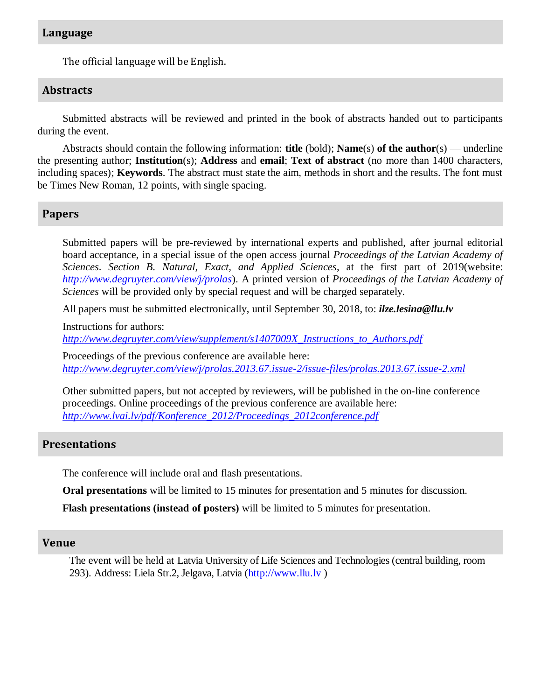#### **Language**

The official language will be English.

#### **Abstracts**

Submitted abstracts will be reviewed and printed in the book of abstracts handed out to participants during the event.

Abstracts should contain the following information: **title** (bold); **Name**(s) **of the author**(s) — underline the presenting author; **Institution**(s); **Address** and **email**; **Text of abstract** (no more than 1400 characters, including spaces); **Keywords**. The abstract must state the aim, methods in short and the results. The font must be Times New Roman, 12 points, with single spacing.

#### **Papers**

Submitted papers will be pre-reviewed by international experts and published, after journal editorial board acceptance, in a special issue of the open access journal *Proceedings of the Latvian Academy of Sciences*. *Section B. Natural, Exact, and Applied Sciences*, at the first part of 2019(website: *<http://www.degruyter.com/view/j/prolas>*). A printed version of *Proceedings of the Latvian Academy of Sciences* will be provided only by special request and will be charged separately.

All papers must be submitted electronically, until September 30, 2018, to: *ilze.lesina@llu.lv*

Instructions for authors:

*[http://www.degruyter.com/view/supplement/s1407009X\\_Instructions\\_to\\_Authors.pdf](http://www.degruyter.com/view/supplement/s1407009X_Instructions_to_Authors.pdf)*

Proceedings of the previous conference are available here: *<http://www.degruyter.com/view/j/prolas.2013.67.issue-2/issue-files/prolas.2013.67.issue-2.xml>*

Other submitted papers, but not accepted by reviewers, will be published in the on-line conference proceedings. Online proceedings of the previous conference are available here: *[http://www.lvai.lv/pdf/Konference\\_2012/Proceedings\\_2012conference.pdf](http://www.lvai.lv/pdf/Konference_2012/Proceedings_2012conference.pdf)*

#### **Presentations**

The conference will include oral and flash presentations.

**Oral presentations** will be limited to 15 minutes for presentation and 5 minutes for discussion.

**Flash presentations (instead of posters)** will be limited to 5 minutes for presentation.

#### **Venue**

The event will be held at Latvia University of Life Sciences and Technologies (central building, room 293). Address: Liela Str.2, Jelgava, Latvia (http://www.llu.lv )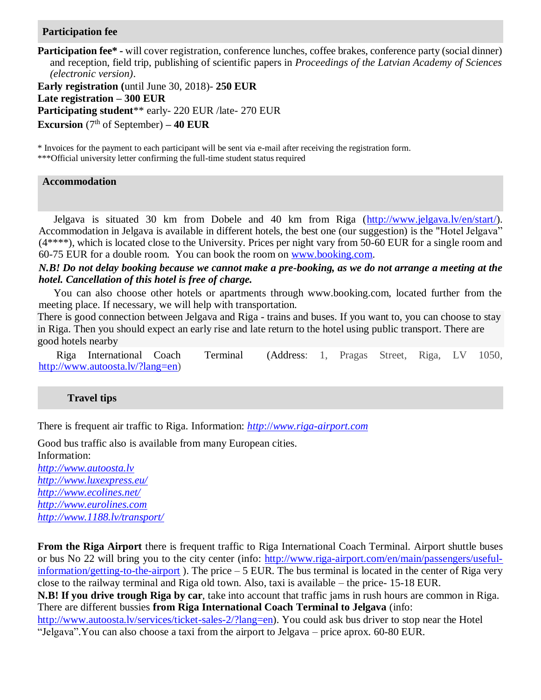#### **Participation fee**

**Participation fee\*** - will cover registration, conference lunches, coffee brakes, conference party (social dinner) and reception, field trip, publishing of scientific papers in *Proceedings of the Latvian Academy of Sciences (electronic version)*.

**Early registration (**until June 30, 2018)- **250 EUR Late registration – 300 EUR Participating student**\*\* early- 220 EUR /late- 270 EUR **Excursion** ( $7<sup>th</sup>$  of September)  $-40$  **EUR** 

\* Invoices for the payment to each participant will be sent via e-mail after receiving the registration form.

\*\*\*Official university letter confirming the full-time student status required

#### **Accommodation**

Jelgava is situated 30 km from Dobele and 40 km from Riga [\(http://www.jelgava.lv/en/start/\)](http://www.jelgava.lv/en/start/). Accommodation in Jelgava is available in different hotels, the best one (our suggestion) is the "Hotel Jelgava" (4\*\*\*\*), which is located close to the University. Prices per night vary from 50-60 EUR for a single room and 60-75 EUR for a double room. You can book the room on [www.booking.com.](http://www.booking.com/)

*N.B! Do not delay booking because we cannot make a pre-booking, as we do not arrange a meeting at the hotel. Cancellation of this hotel is free of charge.*

You can also choose other hotels or apartments through www.booking.com, located further from the meeting place. If necessary, we will help with transportation.

There is good connection between Jelgava and Riga - trains and buses. If you want to, you can choose to stay in Riga. Then you should expect an early rise and late return to the hotel using public transport. There are good hotels nearby

Riga International Coach Terminal (Address: 1, Pragas Street, Riga, LV 1050, [http://www.autoosta.lv/?lang=en\)](http://www.autoosta.lv/?lang=en)

#### **Travel tips**

There is frequent air traffic to Riga. Information: *http*://*[www.riga-airport.com](http://www.riga-airport.com/)*

Good bus traffic also is available from many European cities. Information: *[http://www.autoosta.lv](http://www.autoosta.lv/) <http://www.luxexpress.eu/> <http://www.ecolines.net/> [http://www.eurolines.com](http://www.eurolines.com/) <http://www.1188.lv/transport/>*

**From the Riga Airport** there is frequent traffic to Riga International Coach Terminal. Airport shuttle buses or bus No 22 will bring you to the city center (info: [http://www.riga-airport.com/en/main/passengers/useful](http://www.riga-airport.com/en/main/passengers/useful-information/getting-to-the-airport)[information/getting-to-the-airport](http://www.riga-airport.com/en/main/passengers/useful-information/getting-to-the-airport) ). The price – 5 EUR. The bus terminal is located in the center of Riga very close to the railway terminal and Riga old town. Also, taxi is available – the price- 15-18 EUR. **N.B! If you drive trough Riga by car**, take into account that traffic jams in rush hours are common in Riga. There are different bussies **from Riga International Coach Terminal to Jelgava** (info: [http://www.autoosta.lv/services/ticket-sales-2/?lang=en\)](http://www.autoosta.lv/services/ticket-sales-2/?lang=en). You could ask bus driver to stop near the Hotel "Jelgava".You can also choose a taxi from the airport to Jelgava – price aprox. 60-80 EUR.